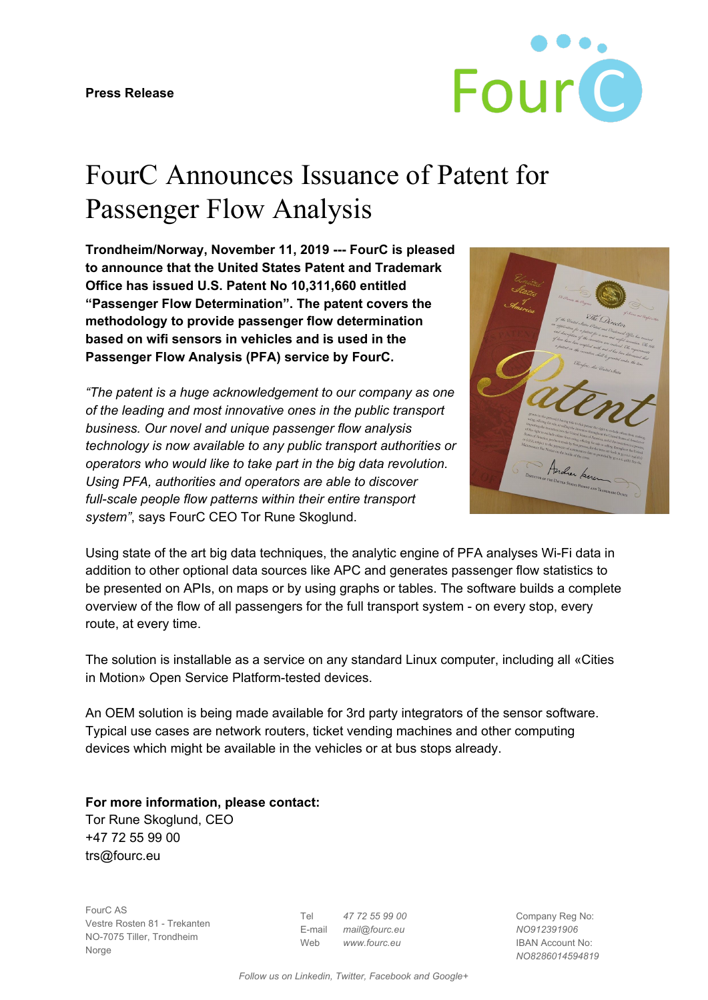

## FourC Announces Issuance of Patent for Passenger Flow Analysis

**Trondheim/Norway, November 11, 2019 --- FourC is pleased to announce that the United States Patent and Trademark Office has issued U.S. Patent No 10,311,660 entitled "Passenger Flow Determination". The patent covers the methodology to provide passenger flow determination based on wifi sensors in vehicles and is used in the Passenger Flow Analysis (PFA) service by FourC.**

*"The patent is a huge acknowledgement to our company as one of the leading and most innovative ones in the public transport business. Our novel and unique passenger flow analysis technology is now available to any public transport authorities or operators who would like to take part in the big data revolution. Using PFA, authorities and operators are able to discover full-scale people flow patterns within their entire transport system"*, says FourC CEO Tor Rune Skoglund.



Using state of the art big data techniques, the analytic engine of PFA analyses Wi-Fi data in addition to other optional data sources like APC and generates passenger flow statistics to be presented on APIs, on maps or by using graphs or tables. The software builds a complete overview of the flow of all passengers for the full transport system - on every stop, every route, at every time.

The solution is installable as a service on any standard Linux computer, including all [«Cities](https://www.fourc.eu/cim-open-service-platform) in Motion» Open Service [Platform](https://www.fourc.eu/cim-open-service-platform)-tested devices.

An OEM solution is being made available for 3rd party integrators of the sensor software. Typical use cases are network routers, ticket vending machines and other computing devices which might be available in the vehicles or at bus stops already.

**For more information, please contact:** Tor Rune Skoglund, CEO +47 72 55 99 00 trs@fourc.eu

FourC AS Vestre Rosten 81 - Trekanten NO-7075 Tiller, Trondheim **Norge** 

Tel *47 72 55 99 00* E-mail *mail@fourc.eu* Web *www.fourc.eu*

Company Reg No: *NO912391906* IBAN Account No: *NO8286014594819*